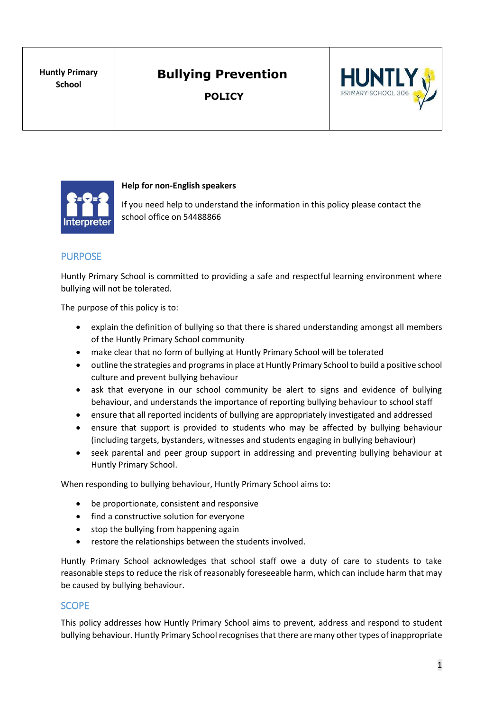**POLICY**





#### **Help for non-English speakers**

If you need help to understand the information in this policy please contact the school office on 54488866

#### PURPOSE

Huntly Primary School is committed to providing a safe and respectful learning environment where bullying will not be tolerated.

The purpose of this policy is to:

- explain the definition of bullying so that there is shared understanding amongst all members of the Huntly Primary School community
- make clear that no form of bullying at Huntly Primary School will be tolerated
- outline the strategies and programs in place at Huntly Primary School to build a positive school culture and prevent bullying behaviour
- ask that everyone in our school community be alert to signs and evidence of bullying behaviour, and understands the importance of reporting bullying behaviour to school staff
- ensure that all reported incidents of bullying are appropriately investigated and addressed
- ensure that support is provided to students who may be affected by bullying behaviour (including targets, bystanders, witnesses and students engaging in bullying behaviour)
- seek parental and peer group support in addressing and preventing bullying behaviour at Huntly Primary School.

When responding to bullying behaviour, Huntly Primary School aims to:

- be proportionate, consistent and responsive
- find a constructive solution for everyone
- stop the bullying from happening again
- restore the relationships between the students involved.

Huntly Primary School acknowledges that school staff owe a duty of care to students to take reasonable steps to reduce the risk of reasonably foreseeable harm, which can include harm that may be caused by bullying behaviour.

#### **SCOPE**

This policy addresses how Huntly Primary School aims to prevent, address and respond to student bullying behaviour. Huntly Primary School recognisesthat there are many other types of inappropriate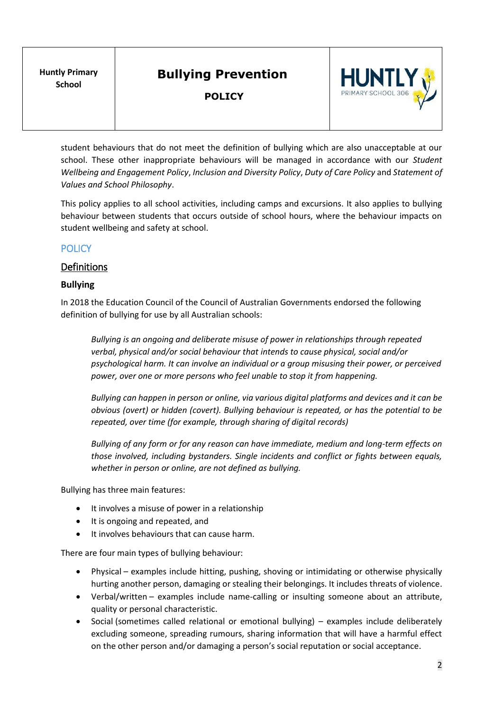**POLICY**



student behaviours that do not meet the definition of bullying which are also unacceptable at our school. These other inappropriate behaviours will be managed in accordance with our *Student Wellbeing and Engagement Policy*, *Inclusion and Diversity Policy*, *Duty of Care Policy* and *Statement of Values and School Philosophy*.

This policy applies to all school activities, including camps and excursions. It also applies to bullying behaviour between students that occurs outside of school hours, where the behaviour impacts on student wellbeing and safety at school.

### **POLICY**

#### Definitions

#### **Bullying**

In 2018 the Education Council of the Council of Australian Governments endorsed the following definition of bullying for use by all Australian schools:

*Bullying is an ongoing and deliberate misuse of power in relationships through repeated verbal, physical and/or social behaviour that intends to cause physical, social and/or psychological harm. It can involve an individual or a group misusing their power, or perceived power, over one or more persons who feel unable to stop it from happening.*

*Bullying can happen in person or online, via various digital platforms and devices and it can be obvious (overt) or hidden (covert). Bullying behaviour is repeated, or has the potential to be repeated, over time (for example, through sharing of digital records)*

*Bullying of any form or for any reason can have immediate, medium and long-term effects on those involved, including bystanders. Single incidents and conflict or fights between equals, whether in person or online, are not defined as bullying.*

Bullying has three main features:

- It involves a misuse of power in a relationship
- It is ongoing and repeated, and
- It involves behaviours that can cause harm.

There are four main types of bullying behaviour:

- Physical examples include hitting, pushing, shoving or intimidating or otherwise physically hurting another person, damaging or stealing their belongings. It includes threats of violence.
- Verbal/written examples include name-calling or insulting someone about an attribute, quality or personal characteristic.
- Social (sometimes called relational or emotional bullying) examples include deliberately excluding someone, spreading rumours, sharing information that will have a harmful effect on the other person and/or damaging a person's social reputation or social acceptance.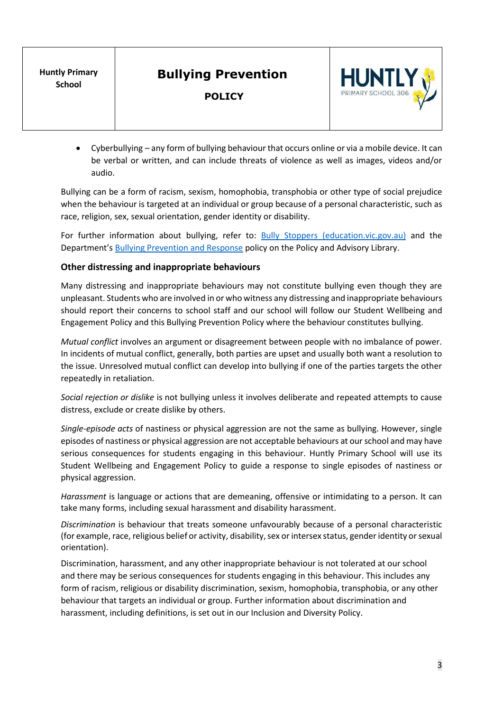**POLICY**



• Cyberbullying – any form of bullying behaviour that occurs online or via a mobile device. It can be verbal or written, and can include threats of violence as well as images, videos and/or audio.

Bullying can be a form of racism, sexism, homophobia, transphobia or other type of social prejudice when the behaviour is targeted at an individual or group because of a personal characteristic, such as race, religion, sex, sexual orientation, gender identity or disability.

For further information about bullying, refer to: **[Bully Stoppers \(education.vic.gov.au\)](https://www.education.vic.gov.au/about/programs/bullystoppers/Pages/default.aspx)** and the Department's [Bullying Prevention and Response](https://www2.education.vic.gov.au/pal/bullying-prevention-response/policy) policy on the Policy and Advisory Library.

#### **Other distressing and inappropriate behaviours**

Many distressing and inappropriate behaviours may not constitute bullying even though they are unpleasant. Students who are involved in or who witness any distressing and inappropriate behaviours should report their concerns to school staff and our school will follow our Student Wellbeing and Engagement Policy and this Bullying Prevention Policy where the behaviour constitutes bullying.

*Mutual conflict* involves an argument or disagreement between people with no imbalance of power. In incidents of mutual conflict, generally, both parties are upset and usually both want a resolution to the issue. Unresolved mutual conflict can develop into bullying if one of the parties targets the other repeatedly in retaliation.

*Social rejection or dislike* is not bullying unless it involves deliberate and repeated attempts to cause distress, exclude or create dislike by others.

*Single-episode acts* of nastiness or physical aggression are not the same as bullying. However, single episodes of nastiness or physical aggression are not acceptable behaviours at ourschool and may have serious consequences for students engaging in this behaviour. Huntly Primary School will use its Student Wellbeing and Engagement Policy to guide a response to single episodes of nastiness or physical aggression.

*Harassment* is language or actions that are demeaning, offensive or intimidating to a person. It can take many forms, including sexual harassment and disability harassment.

*Discrimination* is behaviour that treats someone unfavourably because of a personal characteristic (for example, race, religious belief or activity, disability, sex or intersex status, gender identity or sexual orientation).

Discrimination, harassment, and any other inappropriate behaviour is not tolerated at our school and there may be serious consequences for students engaging in this behaviour. This includes any form of racism, religious or disability discrimination, sexism, homophobia, transphobia, or any other behaviour that targets an individual or group. Further information about discrimination and harassment, including definitions, is set out in our Inclusion and Diversity Policy.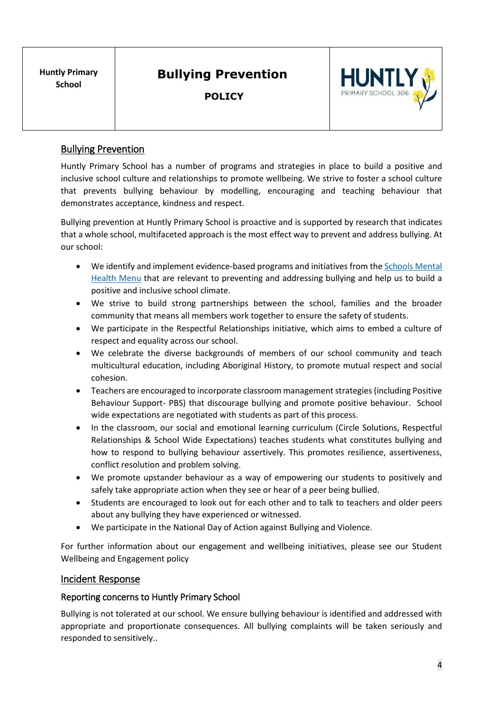**POLICY**



## Bullying Prevention

Huntly Primary School has a number of programs and strategies in place to build a positive and inclusive school culture and relationships to promote wellbeing. We strive to foster a school culture that prevents bullying behaviour by modelling, encouraging and teaching behaviour that demonstrates acceptance, kindness and respect.

Bullying prevention at Huntly Primary School is proactive and is supported by research that indicates that a whole school, multifaceted approach is the most effect way to prevent and address bullying. At our school:

- We identify and implement evidence-based programs and initiatives from the Schools Mental [Health Menu](https://www.education.vic.gov.au/school/teachers/health/mentalhealth/mental-health-menu/Pages/Menu.aspx?Redirect=1) that are relevant to preventing and addressing bullying and help us to build a positive and inclusive school climate.
- We strive to build strong partnerships between the school, families and the broader community that means all members work together to ensure the safety of students.
- We participate in the Respectful Relationships initiative, which aims to embed a culture of respect and equality across our school.
- We celebrate the diverse backgrounds of members of our school community and teach multicultural education, including Aboriginal History, to promote mutual respect and social cohesion.
- Teachers are encouraged to incorporate classroom management strategies (including Positive Behaviour Support- PBS) that discourage bullying and promote positive behaviour. School wide expectations are negotiated with students as part of this process.
- In the classroom, our social and emotional learning curriculum (Circle Solutions, Respectful Relationships & School Wide Expectations) teaches students what constitutes bullying and how to respond to bullying behaviour assertively. This promotes resilience, assertiveness, conflict resolution and problem solving.
- We promote upstander behaviour as a way of empowering our students to positively and safely take appropriate action when they see or hear of a peer being bullied.
- Students are encouraged to look out for each other and to talk to teachers and older peers about any bullying they have experienced or witnessed.
- We participate in the National Day of Action against Bullying and Violence.

For further information about our engagement and wellbeing initiatives, please see our Student Wellbeing and Engagement policy

#### Incident Response

#### Reporting concerns to Huntly Primary School

Bullying is not tolerated at our school. We ensure bullying behaviour is identified and addressed with appropriate and proportionate consequences. All bullying complaints will be taken seriously and responded to sensitively..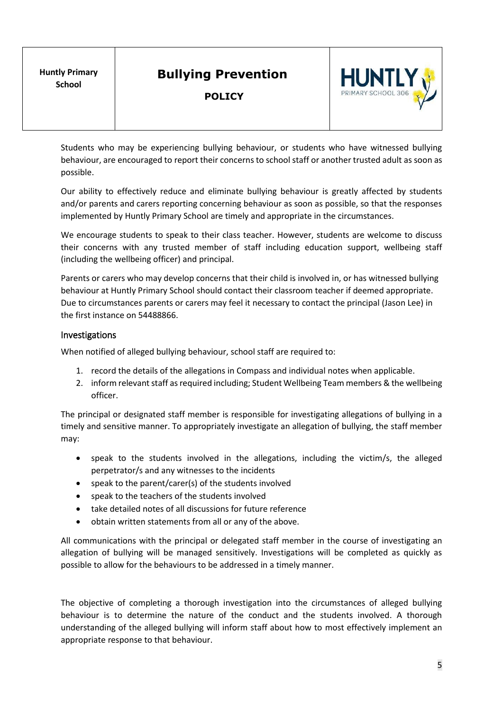**POLICY**



Students who may be experiencing bullying behaviour, or students who have witnessed bullying behaviour, are encouraged to report their concerns to school staff or another trusted adult as soon as possible.

Our ability to effectively reduce and eliminate bullying behaviour is greatly affected by students and/or parents and carers reporting concerning behaviour as soon as possible, so that the responses implemented by Huntly Primary School are timely and appropriate in the circumstances.

We encourage students to speak to their class teacher. However, students are welcome to discuss their concerns with any trusted member of staff including education support, wellbeing staff (including the wellbeing officer) and principal.

Parents or carers who may develop concerns that their child is involved in, or has witnessed bullying behaviour at Huntly Primary School should contact their classroom teacher if deemed appropriate. Due to circumstances parents or carers may feel it necessary to contact the principal (Jason Lee) in the first instance on 54488866.

#### Investigations

When notified of alleged bullying behaviour, school staff are required to:

- 1. record the details of the allegations in Compass and individual notes when applicable.
- 2. inform relevant staff as required including; Student Wellbeing Team members & the wellbeing officer.

The principal or designated staff member is responsible for investigating allegations of bullying in a timely and sensitive manner. To appropriately investigate an allegation of bullying, the staff member may:

- speak to the students involved in the allegations, including the victim/s, the alleged perpetrator/s and any witnesses to the incidents
- speak to the parent/carer(s) of the students involved
- speak to the teachers of the students involved
- take detailed notes of all discussions for future reference
- obtain written statements from all or any of the above.

All communications with the principal or delegated staff member in the course of investigating an allegation of bullying will be managed sensitively. Investigations will be completed as quickly as possible to allow for the behaviours to be addressed in a timely manner.

The objective of completing a thorough investigation into the circumstances of alleged bullying behaviour is to determine the nature of the conduct and the students involved. A thorough understanding of the alleged bullying will inform staff about how to most effectively implement an appropriate response to that behaviour.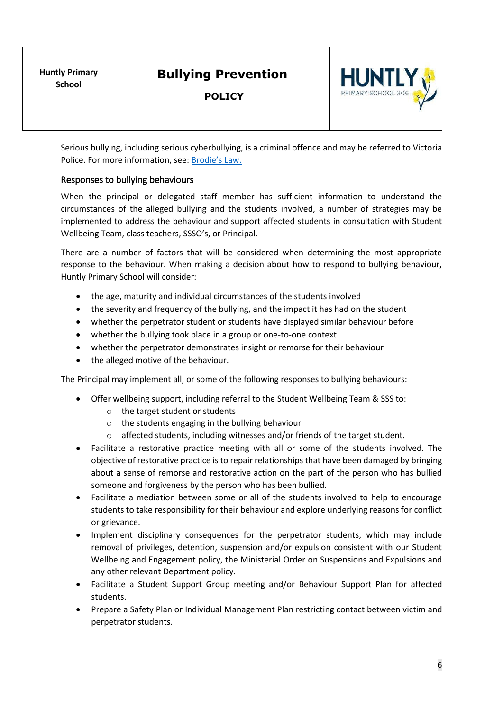**POLICY**



Serious bullying, including serious cyberbullying, is a criminal offence and may be referred to Victoria Police. For more information, see: [Brodie's Law.](http://www.education.vic.gov.au/about/programs/bullystoppers/Pages/advicesheetbrodieslaw.aspx)

#### Responses to bullying behaviours

When the principal or delegated staff member has sufficient information to understand the circumstances of the alleged bullying and the students involved, a number of strategies may be implemented to address the behaviour and support affected students in consultation with Student Wellbeing Team, class teachers, SSSO's, or Principal.

There are a number of factors that will be considered when determining the most appropriate response to the behaviour. When making a decision about how to respond to bullying behaviour, Huntly Primary School will consider:

- the age, maturity and individual circumstances of the students involved
- the severity and frequency of the bullying, and the impact it has had on the student
- whether the perpetrator student or students have displayed similar behaviour before
- whether the bullying took place in a group or one-to-one context
- whether the perpetrator demonstrates insight or remorse for their behaviour
- the alleged motive of the behaviour.

The Principal may implement all, or some of the following responses to bullying behaviours:

- Offer wellbeing support, including referral to the Student Wellbeing Team & SSS to:
	- o the target student or students
	- o the students engaging in the bullying behaviour
	- o affected students, including witnesses and/or friends of the target student.
- Facilitate a restorative practice meeting with all or some of the students involved. The objective of restorative practice is to repair relationships that have been damaged by bringing about a sense of remorse and restorative action on the part of the person who has bullied someone and forgiveness by the person who has been bullied.
- Facilitate a mediation between some or all of the students involved to help to encourage students to take responsibility for their behaviour and explore underlying reasons for conflict or grievance.
- Implement disciplinary consequences for the perpetrator students, which may include removal of privileges, detention, suspension and/or expulsion consistent with our Student Wellbeing and Engagement policy, the Ministerial Order on Suspensions and Expulsions and any other relevant Department policy.
- Facilitate a Student Support Group meeting and/or Behaviour Support Plan for affected students.
- Prepare a Safety Plan or Individual Management Plan restricting contact between victim and perpetrator students.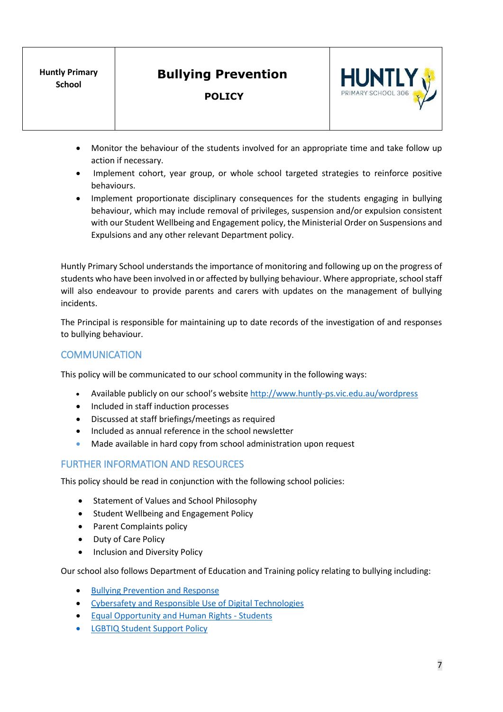#### **POLICY**



- Monitor the behaviour of the students involved for an appropriate time and take follow up action if necessary.
- Implement cohort, year group, or whole school targeted strategies to reinforce positive behaviours.
- Implement proportionate disciplinary consequences for the students engaging in bullying behaviour, which may include removal of privileges, suspension and/or expulsion consistent with our Student Wellbeing and Engagement policy, the Ministerial Order on Suspensions and Expulsions and any other relevant Department policy.

Huntly Primary School understands the importance of monitoring and following up on the progress of students who have been involved in or affected by bullying behaviour. Where appropriate, school staff will also endeavour to provide parents and carers with updates on the management of bullying incidents.

The Principal is responsible for maintaining up to date records of the investigation of and responses to bullying behaviour.

### **COMMUNICATION**

This policy will be communicated to our school community in the following ways:

- Available publicly on our school's website <http://www.huntly-ps.vic.edu.au/wordpress>
- Included in staff induction processes
- Discussed at staff briefings/meetings as required
- Included as annual reference in the school newsletter
- Made available in hard copy from school administration upon request

#### FURTHER INFORMATION AND RESOURCES

This policy should be read in conjunction with the following school policies:

- Statement of Values and School Philosophy
- Student Wellbeing and Engagement Policy
- Parent Complaints policy
- Duty of Care Policy
- Inclusion and Diversity Policy

Our school also follows Department of Education and Training policy relating to bullying including:

- [Bullying Prevention and Response](https://www2.education.vic.gov.au/pal/bullying-prevention-response/policy)
- [Cybersafety and Responsible Use of](https://www2.education.vic.gov.au/pal/cybersafety/policy) Digital Technologies
- [Equal Opportunity and Human Rights -](https://www2.education.vic.gov.au/pal/equal-opportunity-human-rights-students/policy) Students
- [LGBTIQ Student Support Policy](https://www2.education.vic.gov.au/pal/lgbtiq-student-support/policy)